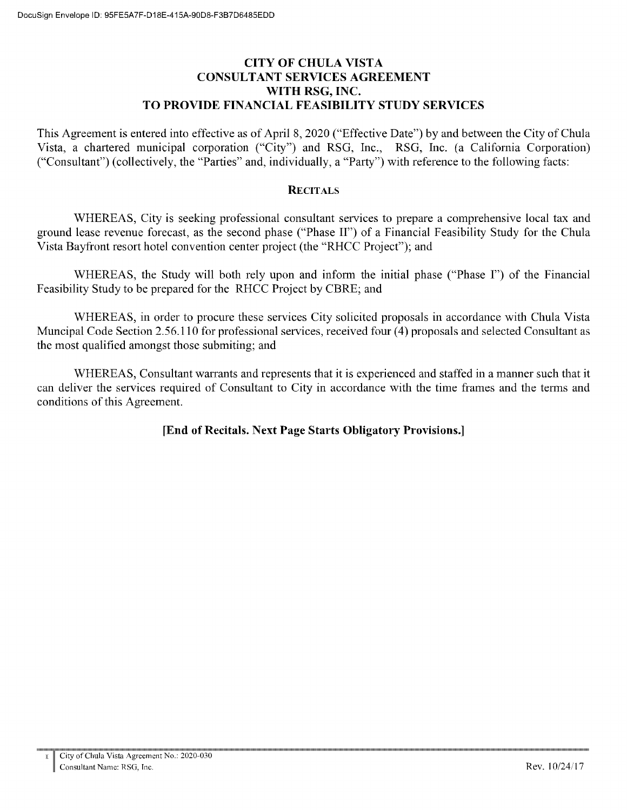#### **CITY OF CHULA VISTA CONSULTANT SERVICES AGREEMENT** WITH RSG, INC. TO PROVIDE FINANCIAL FEASIBILITY STUDY SERVICES

This Agreement is entered into effective as of April 8, 2020 ("Effective Date") by and between the City of Chula Vista, a chartered municipal corporation ("City") and RSG, Inc., RSG, Inc. (a California Corporation) ("Consultant") (collectively, the "Parties" and, individually, a "Party") with reference to the following facts:

#### **RECITALS**

WHEREAS, City is seeking professional consultant services to prepare a comprehensive local tax and ground lease revenue forecast, as the second phase ("Phase II") of a Financial Feasibility Study for the Chula Vista Bayfront resort hotel convention center project (the "RHCC Project"); and

WHEREAS, the Study will both rely upon and inform the initial phase ("Phase I") of the Financial Feasibility Study to be prepared for the RHCC Project by CBRE; and

WHEREAS, in order to procure these services City solicited proposals in accordance with Chula Vista Muncipal Code Section 2.56.110 for professional services, received four (4) proposals and selected Consultant as the most qualified amongst those submiting; and

WHEREAS, Consultant warrants and represents that it is experienced and staffed in a manner such that it can deliver the services required of Consultant to City in accordance with the time frames and the terms and conditions of this Agreement.

## [End of Recitals. Next Page Starts Obligatory Provisions.]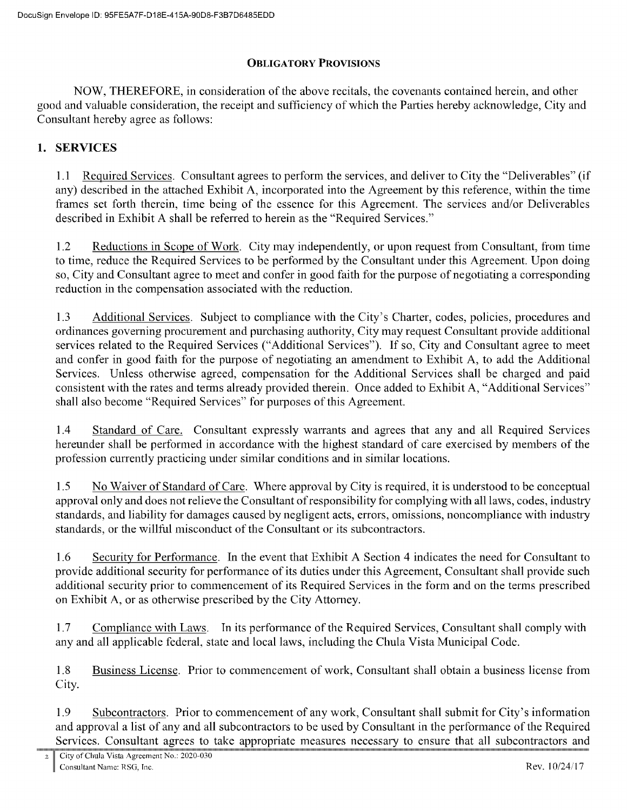## **OBLIGATORY PROVISIONS**

NOW, THEREFORE, in consideration of the above recitals, the covenants contained herein, and other good and valuable consideration, the receipt and sufficiency of which the Parties hereby acknowledge, City and Consultant hereby agree as follows:

## 1. SERVICES

1.1 Required Services. Consultant agrees to perform the services, and deliver to City the "Deliverables" (if any) described in the attached Exhibit A, incorporated into the Agreement by this reference, within the time frames set forth therein, time being of the essence for this Agreement. The services and/or Deliverables described in Exhibit A shall be referred to herein as the "Required Services."

 $1.2$ Reductions in Scope of Work. City may independently, or upon request from Consultant, from time to time, reduce the Required Services to be performed by the Consultant under this Agreement. Upon doing so, City and Consultant agree to meet and confer in good faith for the purpose of negotiating a corresponding reduction in the compensation associated with the reduction.

1.3 Additional Services. Subject to compliance with the City's Charter, codes, policies, procedures and ordinances governing procurement and purchasing authority, City may request Consultant provide additional services related to the Required Services ("Additional Services"). If so, City and Consultant agree to meet and confer in good faith for the purpose of negotiating an amendment to Exhibit A, to add the Additional Services. Unless otherwise agreed, compensation for the Additional Services shall be charged and paid consistent with the rates and terms already provided therein. Once added to Exhibit A, "Additional Services" shall also become "Required Services" for purposes of this Agreement.

 $1.4$ Standard of Care. Consultant expressly warrants and agrees that any and all Required Services hereunder shall be performed in accordance with the highest standard of care exercised by members of the profession currently practicing under similar conditions and in similar locations.

 $1.5$ No Waiver of Standard of Care. Where approval by City is required, it is understood to be conceptual approval only and does not relieve the Consultant of responsibility for complying with all laws, codes, industry standards, and liability for damages caused by negligent acts, errors, omissions, noncompliance with industry standards, or the willful misconduct of the Consultant or its subcontractors.

1.6 Security for Performance. In the event that Exhibit A Section 4 indicates the need for Consultant to provide additional security for performance of its duties under this Agreement, Consultant shall provide such additional security prior to commencement of its Required Services in the form and on the terms prescribed on Exhibit A, or as otherwise prescribed by the City Attorney.

 $1.7$ Compliance with Laws. In its performance of the Required Services, Consultant shall comply with any and all applicable federal, state and local laws, including the Chula Vista Municipal Code.

1.8 Business License. Prior to commencement of work, Consultant shall obtain a business license from City.

1.9 Subcontractors. Prior to commencement of any work, Consultant shall submit for City's information and approval a list of any and all subcontractors to be used by Consultant in the performance of the Required Services. Consultant agrees to take appropriate measures necessary to ensure that all subcontractors and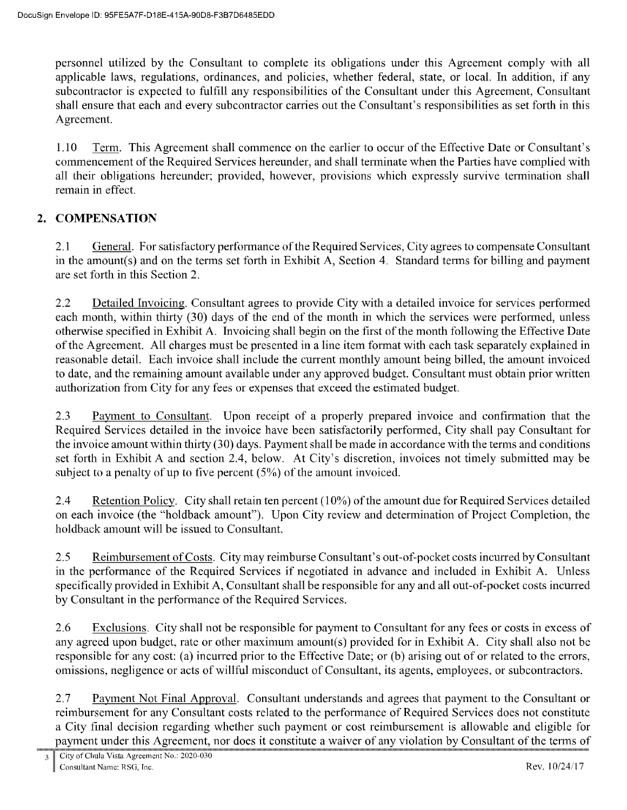personnel utilized by the Consultant to complete its obligations under this Agreement comply with all applicable laws, regulations, ordinances, and policies, whether federal, state, or local. In addition, if any subcontractor is expected to fulfill any responsibilities of the Consultant under this Agreement, Consultant shall ensure that each and every subcontractor carries out the Consultant's responsibilities as set forth in this Agreement.

1.10 Term. This Agreement shall commence on the earlier to occur of the Effective Date or Consultant's commencement of the Required Services hereunder, and shall terminate when the Parties have complied with all their obligations hereunder; provided, however, provisions which expressly survive termination shall remain in effect.

#### **COMPENSATION**  $2.$

General. For satisfactory performance of the Required Services, City agrees to compensate Consultant  $2.1$ in the amount(s) and on the terms set forth in Exhibit A, Section 4. Standard terms for billing and payment are set forth in this Section 2.

 $2.2$ Detailed Invoicing. Consultant agrees to provide City with a detailed invoice for services performed each month, within thirty (30) days of the end of the month in which the services were performed, unless otherwise specified in Exhibit A. Invoicing shall begin on the first of the month following the Effective Date of the Agreement. All charges must be presented in a line item format with each task separately explained in reasonable detail. Each invoice shall include the current monthly amount being billed, the amount invoiced to date, and the remaining amount available under any approved budget. Consultant must obtain prior written authorization from City for any fees or expenses that exceed the estimated budget.

2.3 Payment to Consultant. Upon receipt of a properly prepared invoice and confirmation that the Required Services detailed in the invoice have been satisfactorily performed. City shall pay Consultant for the invoice amount within thirty (30) days. Payment shall be made in accordance with the terms and conditions set forth in Exhibit A and section 2.4, below. At City's discretion, invoices not timely submitted may be subject to a penalty of up to five percent  $(5%)$  of the amount invoiced.

 $2.4$ Retention Policy. City shall retain ten percent  $(10\%)$  of the amount due for Required Services detailed on each invoice (the "holdback amount"). Upon City review and determination of Project Completion, the holdback amount will be issued to Consultant.

 $2.5$ Reimbursement of Costs. City may reimburse Consultant's out-of-pocket costs incurred by Consultant in the performance of the Required Services if negotiated in advance and included in Exhibit A. Unless specifically provided in Exhibit A, Consultant shall be responsible for any and all out-of-pocket costs incurred by Consultant in the performance of the Required Services.

2.6 Exclusions. City shall not be responsible for payment to Consultant for any fees or costs in excess of any agreed upon budget, rate or other maximum amount(s) provided for in Exhibit A. City shall also not be responsible for any cost: (a) incurred prior to the Effective Date; or (b) arising out of or related to the errors, omissions, negligence or acts of willful misconduct of Consultant, its agents, employees, or subcontractors.

Payment Not Final Approval. Consultant understands and agrees that payment to the Consultant or 2.7 reimbursement for any Consultant costs related to the performance of Required Services does not constitute a City final decision regarding whether such payment or cost reimbursement is allowable and eligible for payment under this Agreement, nor does it constitute a waiver of any violation by Consultant of the terms of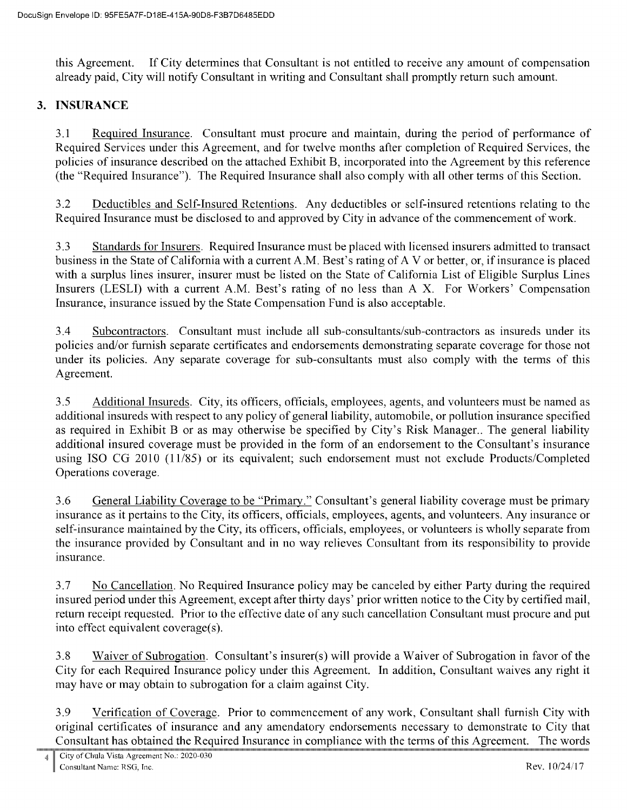If City determines that Consultant is not entitled to receive any amount of compensation this Agreement. already paid, City will notify Consultant in writing and Consultant shall promptly return such amount.

#### 3. INSURANCE

 $3.1$ Required Insurance. Consultant must procure and maintain, during the period of performance of Required Services under this Agreement, and for twelve months after completion of Required Services, the policies of insurance described on the attached Exhibit B, incorporated into the Agreement by this reference (the "Required Insurance"). The Required Insurance shall also comply with all other terms of this Section.

 $3.2$ Deductibles and Self-Insured Retentions. Any deductibles or self-insured retentions relating to the Required Insurance must be disclosed to and approved by City in advance of the commencement of work.

 $3.3$ Standards for Insurers. Required Insurance must be placed with licensed insurers admitted to transact business in the State of California with a current A.M. Best's rating of A V or better, or, if insurance is placed with a surplus lines insurer, insurer must be listed on the State of California List of Eligible Surplus Lines Insurers (LESLI) with a current A.M. Best's rating of no less than A.X. For Workers' Compensation Insurance, insurance issued by the State Compensation Fund is also acceptable.

3.4 Subcontractors. Consultant must include all sub-consultants/sub-contractors as insureds under its policies and/or furnish separate certificates and endorsements demonstrating separate coverage for those not under its policies. Any separate coverage for sub-consultants must also comply with the terms of this Agreement.

 $3.5$ Additional Insureds. City, its officers, officials, employees, agents, and volunteers must be named as additional insureds with respect to any policy of general liability, automobile, or pollution insurance specified as required in Exhibit B or as may otherwise be specified by City's Risk Manager.. The general liability additional insured coverage must be provided in the form of an endorsement to the Consultant's insurance using ISO CG 2010 (11/85) or its equivalent; such endorsement must not exclude Products/Completed Operations coverage.

3.6 General Liability Coverage to be "Primary." Consultant's general liability coverage must be primary insurance as it pertains to the City, its officers, officials, employees, agents, and volunteers. Any insurance or self-insurance maintained by the City, its officers, officials, employees, or volunteers is wholly separate from the insurance provided by Consultant and in no way relieves Consultant from its responsibility to provide insurance.

3.7 No Cancellation. No Required Insurance policy may be canceled by either Party during the required insured period under this Agreement, except after thirty days' prior written notice to the City by certified mail, return receipt requested. Prior to the effective date of any such cancellation Consultant must procure and put into effect equivalent coverage(s).

3.8 Waiver of Subrogation. Consultant's insurer(s) will provide a Waiver of Subrogation in favor of the City for each Required Insurance policy under this Agreement. In addition, Consultant waives any right it may have or may obtain to subrogation for a claim against City.

3.9 Verification of Coverage. Prior to commencement of any work, Consultant shall furnish City with original certificates of insurance and any amendatory endorsements necessary to demonstrate to City that Consultant has obtained the Required Insurance in compliance with the terms of this Agreement. The words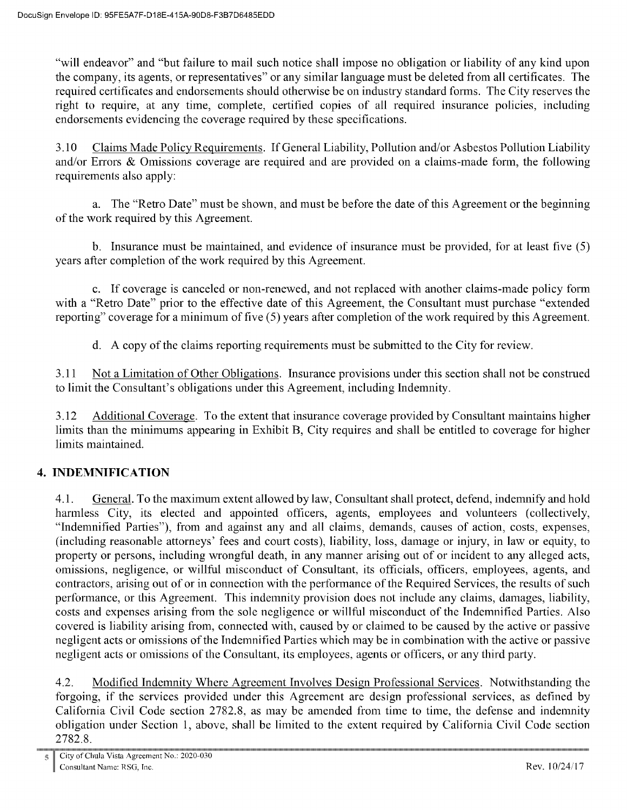"will endeavor" and "but failure to mail such notice shall impose no obligation or liability of any kind upon the company, its agents, or representatives" or any similar language must be deleted from all certificates. The required certificates and endorsements should otherwise be on industry standard forms. The City reserves the right to require, at any time, complete, certified copies of all required insurance policies, including endorsements evidencing the coverage required by these specifications.

3.10 Claims Made Policy Requirements. If General Liability, Pollution and/or Asbestos Pollution Liability and/or Errors & Omissions coverage are required and are provided on a claims-made form, the following requirements also apply:

a. The "Retro Date" must be shown, and must be before the date of this Agreement or the beginning of the work required by this Agreement.

b. Insurance must be maintained, and evidence of insurance must be provided, for at least five (5) years after completion of the work required by this Agreement.

c. If coverage is canceled or non-renewed, and not replaced with another claims-made policy form with a "Retro Date" prior to the effective date of this Agreement, the Consultant must purchase "extended reporting" coverage for a minimum of five (5) years after completion of the work required by this Agreement.

d. A copy of the claims reporting requirements must be submitted to the City for review.

Not a Limitation of Other Obligations. Insurance provisions under this section shall not be construed 3.11 to limit the Consultant's obligations under this Agreement, including Indemnity.

3.12 Additional Coverage. To the extent that insurance coverage provided by Consultant maintains higher limits than the minimums appearing in Exhibit B, City requires and shall be entitled to coverage for higher limits maintained.

# **4. INDEMNIFICATION**

 $4.1.$ General. To the maximum extent allowed by law, Consultant shall protect, defend, indemnify and hold harmless City, its elected and appointed officers, agents, employees and volunteers (collectively, "Indemnified Parties"), from and against any and all claims, demands, causes of action, costs, expenses, (including reasonable attorneys' fees and court costs), liability, loss, damage or injury, in law or equity, to property or persons, including wrongful death, in any manner arising out of or incident to any alleged acts, omissions, negligence, or willful misconduct of Consultant, its officials, officers, employees, agents, and contractors, arising out of or in connection with the performance of the Required Services, the results of such performance, or this Agreement. This indemnity provision does not include any claims, damages, liability, costs and expenses arising from the sole negligence or willful misconduct of the Indemnified Parties. Also covered is liability arising from, connected with, caused by or claimed to be caused by the active or passive negligent acts or omissions of the Indemnified Parties which may be in combination with the active or passive negligent acts or omissions of the Consultant, its employees, agents or officers, or any third party.

 $4.2.$ Modified Indemnity Where Agreement Involves Design Professional Services. Notwithstanding the forgoing, if the services provided under this Agreement are design professional services, as defined by California Civil Code section 2782.8, as may be amended from time to time, the defense and indemnity obligation under Section 1, above, shall be limited to the extent required by California Civil Code section 2782.8.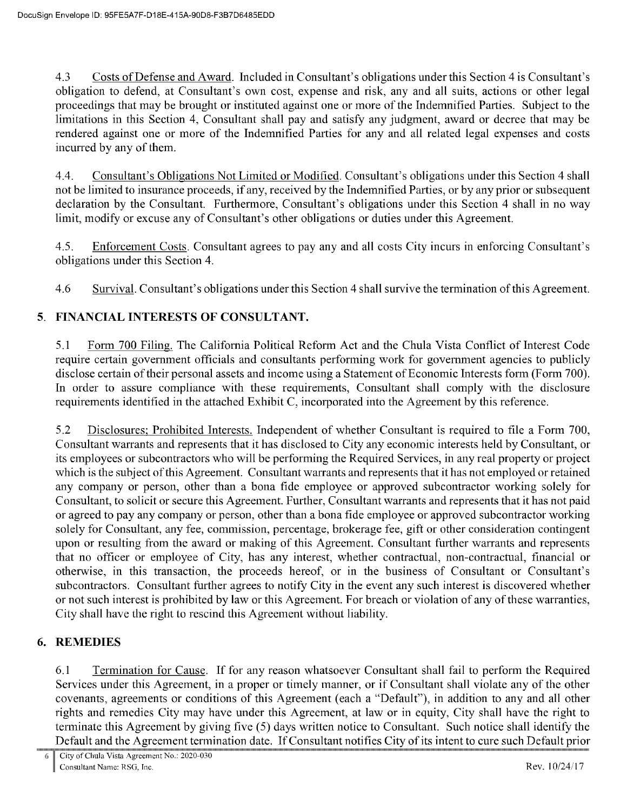4.3 Costs of Defense and Award. Included in Consultant's obligations under this Section 4 is Consultant's obligation to defend, at Consultant's own cost, expense and risk, any and all suits, actions or other legal proceedings that may be brought or instituted against one or more of the Indemnified Parties. Subject to the limitations in this Section 4, Consultant shall pay and satisfy any judgment, award or decree that may be rendered against one or more of the Indemnified Parties for any and all related legal expenses and costs incurred by any of them.

4.4. Consultant's Obligations Not Limited or Modified. Consultant's obligations under this Section 4 shall not be limited to insurance proceeds, if any, received by the Indemnified Parties, or by any prior or subsequent<br>declaration by the Consultant. Furthermore, Consultant's obligations under this Section 4 shall in no way limit, modify or excuse any of Consultant's other obligations or duties under this Agreement.

4.5. Enforcement Costs. Consultant agrees to pay any and all costs City incurs in enforcing Consultant's obligations under this Section 4.

4.6 Survival. Consultant's obligations under this Section 4 shall survive the termination of this Agreement.

# 5. FINANCIAL INTERESTS OF CONSULTANT.

5.1 Form 700 Filing. The California Political Reform Act and the Chula Vista Conflict of Interest Code require certain government officials and consultants performing work for government agencies to publicly disclose certain of their personal assets and income using a Statement of Economic Interests form (Form 700). In order to assure compliance with these requirements, Consultant shall comply with the disclosure requirements identified in the attached Exhibit C, incorporated into the Agreement by this reference.

5.2 Disclosures; Prohibited Interests. Independent of whether Consultant is required to file a Form 700, Consultant warrants and represents that it has disclosed to City any economic interests held by Consultant, or its employees or subcontractors who will be performing the Required Services, in any real property or project which is the subject of this Agreement. Consultant warrants and represents that it has not employed or retained any company or person, other than a bona fide employee or approved subcontractor working solely for Consultant, to solicit or secure this Agreement. Further, Consultant warrants and represents that it has not paid or agreed to pay any company or person, other than a bona fide employee or approved subcontractor working solely for Consultant, any fee, commission, percentage, brokerage fee, gift or other consideration contingent upon or resulting from the award or making of this Agreement. Consultant further warrants and represents that no officer or employee of City, has any interest, whether contractual, non-contractual, financial or otherwise, in this transaction, the proceeds hereof, or in the business of Consultant or Consultant's subcontractors. Consultant further agrees to notify City in the event any such interest is discovered whether or not such interest is prohibited by law or this Agreement. For breach or violation of any of these warranties, City shall have the right to rescind this Agreement without liability.

#### **REMEDIES** 6.

6.1 Termination for Cause. If for any reason whatsoever Consultant shall fail to perform the Required Services under this Agreement, in a proper or timely manner, or if Consultant shall violate any of the other covenants, agreements or conditions of this Agreement (each a "Default"), in addition to any and all other rights and remedies City may have under this Agreement, at law or in equity, City shall have the right to terminate this Agreement by giving five (5) days written notice to Consultant. Such notice shall identify the Default and the Agreement termination date. If Consultant notifies City of its intent to cure such Default prior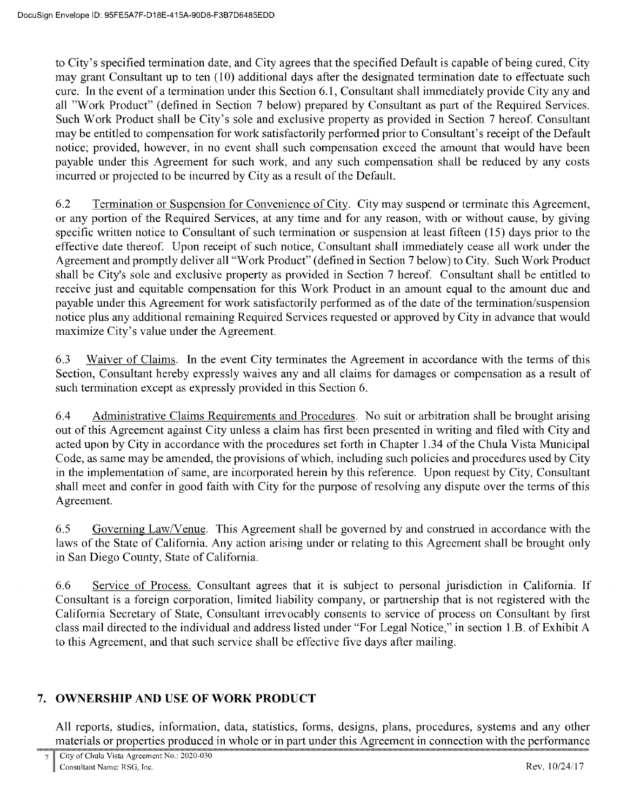to City's specified termination date, and City agrees that the specified Default is capable of being cured, City may grant Consultant up to ten (10) additional days after the designated termination date to effectuate such cure. In the event of a termination under this Section 6.1, Consultant shall immediately provide City any and all "Work Product" (defined in Section 7 below) prepared by Consultant as part of the Required Services. Such Work Product shall be City's sole and exclusive property as provided in Section 7 hereof. Consultant may be entitled to compensation for work satisfactorily performed prior to Consultant's receipt of the Default notice; provided, however, in no event shall such compensation exceed the amount that would have been payable under this Agreement for such work, and any such compensation shall be reduced by any costs incurred or projected to be incurred by City as a result of the Default.

6.2 Termination or Suspension for Convenience of City. City may suspend or terminate this Agreement, or any portion of the Required Services, at any time and for any reason, with or without cause, by giving specific written notice to Consultant of such termination or suspension at least fifteen (15) days prior to the effective date thereof. Upon receipt of such notice, Consultant shall immediately cease all work under the Agreement and promptly deliver all "Work Product" (defined in Section 7 below) to City. Such Work Product shall be City's sole and exclusive property as provided in Section 7 hereof. Consultant shall be entitled to receive just and equitable compensation for this Work Product in an amount equal to the amount due and payable under this Agreement for work satisfactorily performed as of the date of the termination/suspension notice plus any additional remaining Required Services requested or approved by City in advance that would maximize City's value under the Agreement.

6.3 Waiver of Claims. In the event City terminates the Agreement in accordance with the terms of this Section, Consultant hereby expressly waives any and all claims for damages or compensation as a result of such termination except as expressly provided in this Section 6.

6.4 Administrative Claims Requirements and Procedures. No suit or arbitration shall be brought arising out of this Agreement against City unless a claim has first been presented in writing and filed with City and acted upon by City in accordance with the procedures set forth in Chapter 1.34 of the Chula Vista Municipal Code, as same may be amended, the provisions of which, including such policies and procedures used by City in the implementation of same, are incorporated herein by this reference. Upon request by City, Consultant shall meet and confer in good faith with City for the purpose of resolving any dispute over the terms of this Agreement.

6.5 Governing Law/Venue. This Agreement shall be governed by and construed in accordance with the laws of the State of California. Any action arising under or relating to this Agreement shall be brought only in San Diego County, State of California.

6.6 Service of Process. Consultant agrees that it is subject to personal jurisdiction in California. If Consultant is a foreign corporation, limited liability company, or partnership that is not registered with the California Secretary of State, Consultant irrevocably consents to service of process on Consultant by first class mail directed to the individual and address listed under "For Legal Notice," in section 1.B. of Exhibit A to this Agreement, and that such service shall be effective five days after mailing.

# 7. OWNERSHIP AND USE OF WORK PRODUCT

All reports, studies, information, data, statistics, forms, designs, plans, procedures, systems and any other materials or properties produced in whole or in part under this Agreement in connection with the performance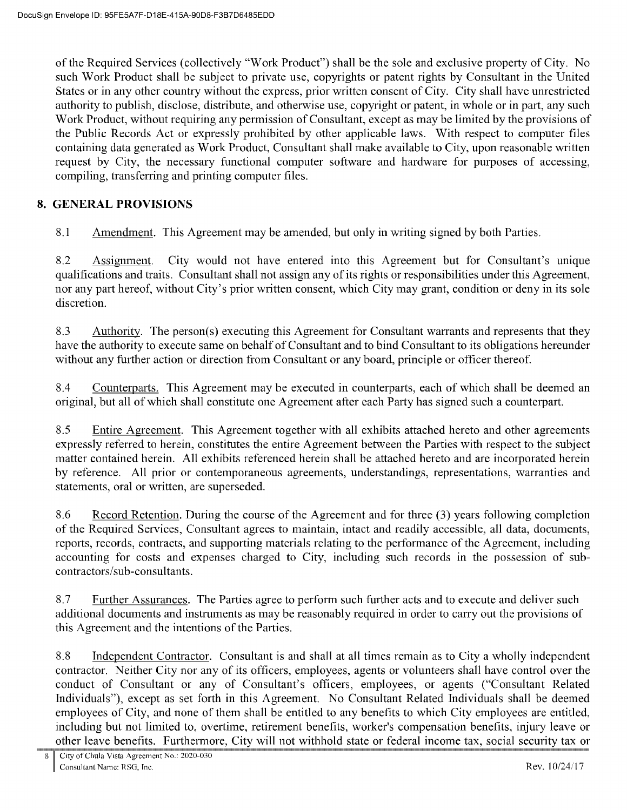of the Required Services (collectively "Work Product") shall be the sole and exclusive property of City. No such Work Product shall be subject to private use, copyrights or patent rights by Consultant in the United States or in any other country without the express, prior written consent of City. City shall have unrestricted authority to publish, disclose, distribute, and otherwise use, copyright or patent, in whole or in part, any such Work Product, without requiring any permission of Consultant, except as may be limited by the provisions of the Public Records Act or expressly prohibited by other applicable laws. With respect to computer files containing data generated as Work Product, Consultant shall make available to City, upon reasonable written request by City, the necessary functional computer software and hardware for purposes of accessing, compiling, transferring and printing computer files.

## 8. GENERAL PROVISIONS

8.1 Amendment. This Agreement may be amended, but only in writing signed by both Parties.

8.2 City would not have entered into this Agreement but for Consultant's unique Assignment. qualifications and traits. Consultant shall not assign any of its rights or responsibilities under this Agreement, nor any part hereof, without City's prior written consent, which City may grant, condition or deny in its sole discretion.

8.3 Authority. The person(s) executing this Agreement for Consultant warrants and represents that they have the authority to execute same on behalf of Consultant and to bind Consultant to its obligations hereunder without any further action or direction from Consultant or any board, principle or officer thereof.

8.4 Counterparts. This Agreement may be executed in counterparts, each of which shall be deemed an original, but all of which shall constitute one Agreement after each Party has signed such a counterpart.

8.5 Entire Agreement. This Agreement together with all exhibits attached hereto and other agreements expressly referred to herein, constitutes the entire Agreement between the Parties with respect to the subject matter contained herein. All exhibits referenced herein shall be attached hereto and are incorporated herein by reference. All prior or contemporaneous agreements, understandings, representations, warranties and statements, oral or written, are superseded.

8.6 Record Retention. During the course of the Agreement and for three (3) years following completion of the Required Services, Consultant agrees to maintain, intact and readily accessible, all data, documents, reports, records, contracts, and supporting materials relating to the performance of the Agreement, including accounting for costs and expenses charged to City, including such records in the possession of subcontractors/sub-consultants.

8.7 Further Assurances. The Parties agree to perform such further acts and to execute and deliver such additional documents and instruments as may be reasonably required in order to carry out the provisions of this Agreement and the intentions of the Parties.

8.8 Independent Contractor. Consultant is and shall at all times remain as to City a wholly independent contractor. Neither City nor any of its officers, employees, agents or volunteers shall have control over the conduct of Consultant or any of Consultant's officers, employees, or agents ("Consultant Related Individuals"), except as set forth in this Agreement. No Consultant Related Individuals shall be deemed employees of City, and none of them shall be entitled to any benefits to which City employees are entitled, including but not limited to, overtime, retirement benefits, worker's compensation benefits, injury leave or other leave benefits. Furthermore, City will not withhold state or federal income tax, social security tax or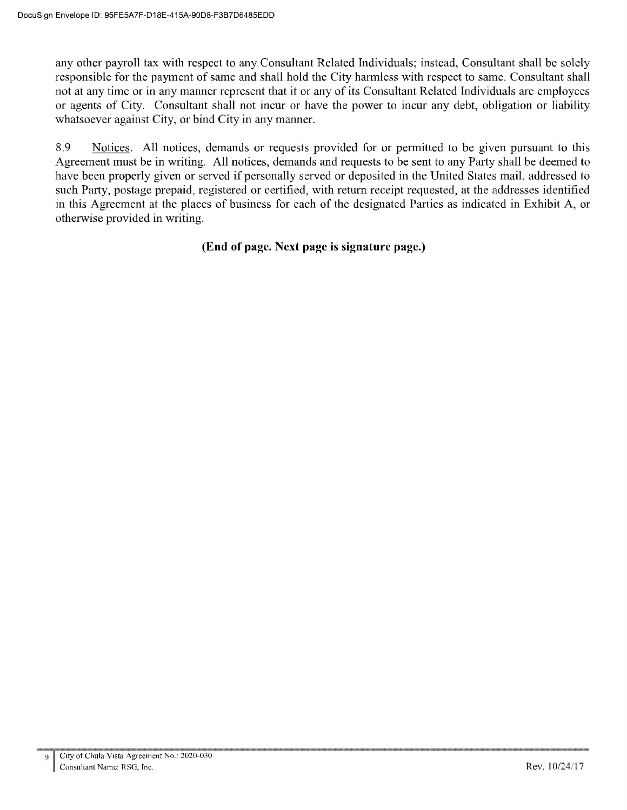any other payroll tax with respect to any Consultant Related Individuals; instead, Consultant shall be solely responsible for the payment of same and shall hold the City harmless with respect to same. Consultant shall not at any time or in any manner represent that it or any of its Consultant Related Individuals are employees or agents of City. Consultant shall not incur or have the power to incur any debt, obligation or liability whatsoever against City, or bind City in any manner.

8.9 Notices. All notices, demands or requests provided for or permitted to be given pursuant to this Agreement must be in writing. All notices, demands and requests to be sent to any Party shall be deemed to have been properly given or served if personally served or deposited in the United States mail, addressed to such Party, postage prepaid, registered or certified, with return receipt requested, at the addresses identified in this Agreement at the places of business for each of the designated Parties as indicated in Exhibit A, or otherwise provided in writing.

## (End of page. Next page is signature page.)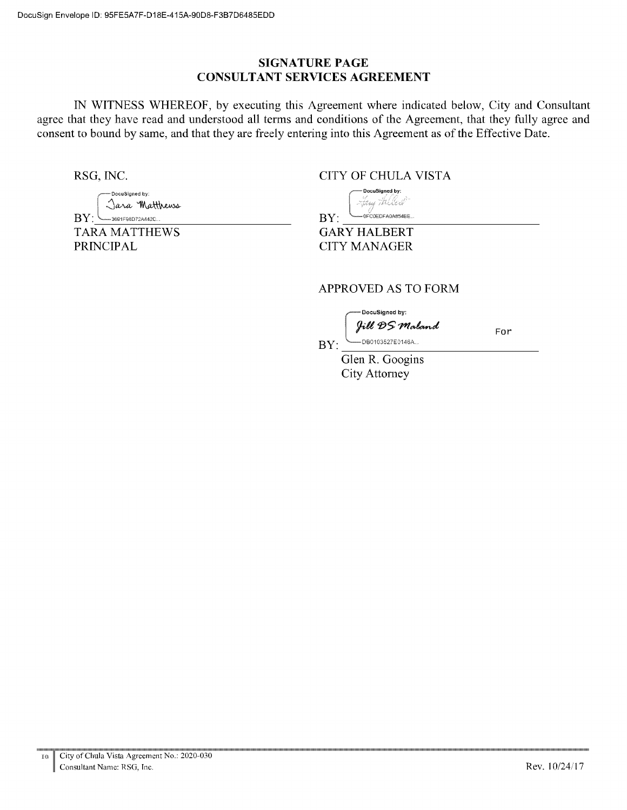## **SIGNATURE PAGE CONSULTANT SERVICES AGREEMENT**

IN WITNESS WHEREOF, by executing this Agreement where indicated below, City and Consultant agree that they have read and understood all terms and conditions of the Agreement, that they fully agree and consent to bound by same, and that they are freely entering into this Agreement as of the Effective Date.

RSG, INC.

DocuSigned by: Jara Matthews  $BY:$   $\Box$ 3691F98D72A442C... **TARA MATTHEWS** 

**PRINCIPAL** 

**CITY OF CHULA VISTA** 

DocuSigned by: Sprig Hiller  $-0$ FC0EDFA0A854BE..  $BY:$ 

**GARY HALBERT CITY MANAGER** 

## **APPROVED AS TO FORM**

DocuSigned by: Jill DS Maland

For

--<br>DB0103527E0146A...  $BY:$ 

> Glen R. Googins **City Attorney**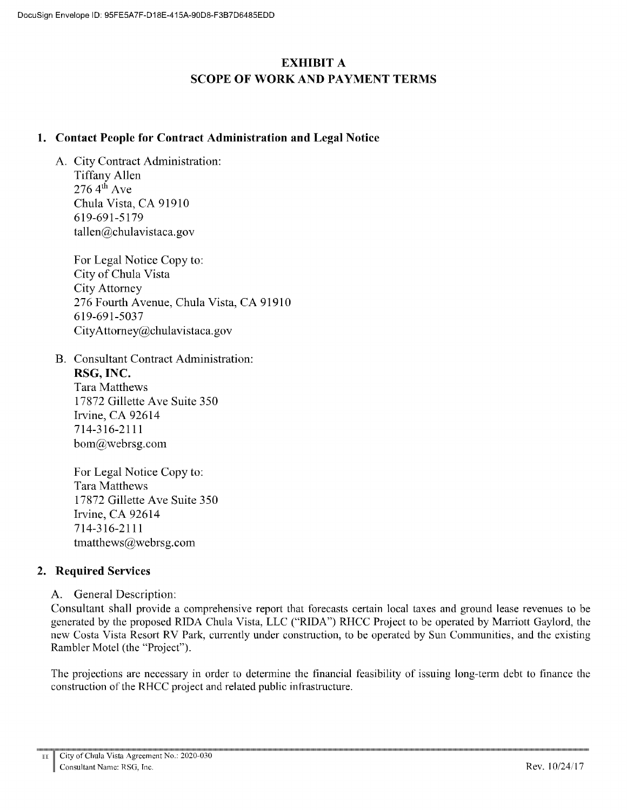# **EXHIBIT A SCOPE OF WORK AND PAYMENT TERMS**

#### 1. Contact People for Contract Administration and Legal Notice

A. City Contract Administration: **Tiffany Allen**  $2764^{\text{th}}$  Ave Chula Vista, CA 91910 619-691-5179 tallen@chulavistaca.gov

> For Legal Notice Copy to: City of Chula Vista **City Attorney** 276 Fourth Avenue, Chula Vista, CA 91910 619-691-5037 CityAttorney@chulavistaca.gov

**B.** Consultant Contract Administration: RSG. INC. Tara Matthews

17872 Gillette Ave Suite 350 Irvine, CA 92614 7143162111  $bom@webrsg.com$ 

For Legal Notice Copy to: **Tara Matthews** 17872 Gillette Ave Suite 350 Irvine, CA 92614 7143162111 tmatthews@webrsg.com

## 2. Required Services

#### A. General Description:

Consultant shall provide a comprehensive report that forecasts certain local taxes and ground lease revenues to be generated by the proposed RIDA Chula Vista, LLC ("RIDA") RHCC Project to be operated by Marriott Gaylord, the new Costa Vista Resort RV Park, currently under construction, to be operated by Sun Communities, and the existing Rambler Motel (the "Project").

The projections are necessary in order to determine the financial feasibility of issuing long-term debt to finance the construction of the RHCC project and related public infrastructure.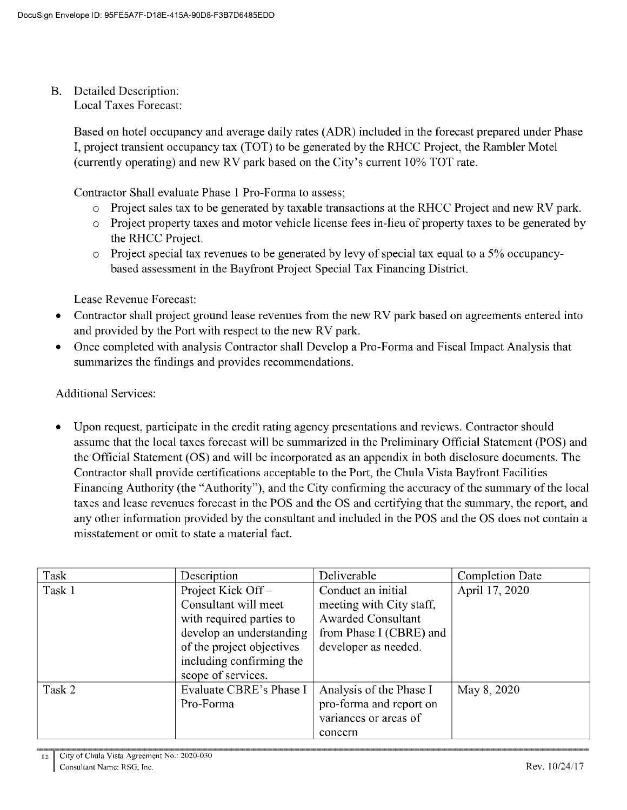**Detailed Description:**  $B<sub>1</sub>$ **Local Taxes Forecast:** 

> Based on hotel occupancy and average daily rates (ADR) included in the forecast prepared under Phase I, project transient occupancy tax (TOT) to be generated by the RHCC Project, the Rambler Motel (currently operating) and new RV park based on the City's current 10% TOT rate.

Contractor Shall evaluate Phase 1 Pro-Forma to assess;

- o Project sales tax to be generated by taxable transactions at the RHCC Project and new RV park.
- o Project property taxes and motor vehicle license fees in-lieu of property taxes to be generated by the RHCC Project.
- o Project special tax revenues to be generated by levy of special tax equal to a 5% occupancybased assessment in the Bayfront Project Special Tax Financing District.

Lease Revenue Forecast:

- Contractor shall project ground lease revenues from the new RV park based on agreements entered into  $\bullet$ and provided by the Port with respect to the new RV park.
- Once completed with analysis Contractor shall Develop a Pro-Forma and Fiscal Impact Analysis that  $\bullet$ summarizes the findings and provides recommendations.

#### **Additional Services:**

Upon request, participate in the credit rating agency presentations and reviews. Contractor should assume that the local taxes forecast will be summarized in the Preliminary Official Statement (POS) and the Official Statement (OS) and will be incorporated as an appendix in both disclosure documents. The Contractor shall provide certifications acceptable to the Port, the Chula Vista Bayfront Facilities Financing Authority (the "Authority"), and the City confirming the accuracy of the summary of the local taxes and lease revenues forecast in the POS and the OS and certifying that the summary, the report, and any other information provided by the consultant and included in the POS and the OS does not contain a misstatement or omit to state a material fact.

| Task   | Description               | Deliverable               | <b>Completion Date</b> |
|--------|---------------------------|---------------------------|------------------------|
| Task 1 | Project Kick Off-         | Conduct an initial        | April 17, 2020         |
|        | Consultant will meet      | meeting with City staff,  |                        |
|        | with required parties to  | <b>Awarded Consultant</b> |                        |
|        | develop an understanding  | from Phase I (CBRE) and   |                        |
|        | of the project objectives | developer as needed.      |                        |
|        | including confirming the  |                           |                        |
|        | scope of services.        |                           |                        |
| Task 2 | Evaluate CBRE's Phase I   | Analysis of the Phase I   | May 8, 2020            |
|        | Pro-Forma                 | pro-forma and report on   |                        |
|        |                           | variances or areas of     |                        |
|        |                           | concern                   |                        |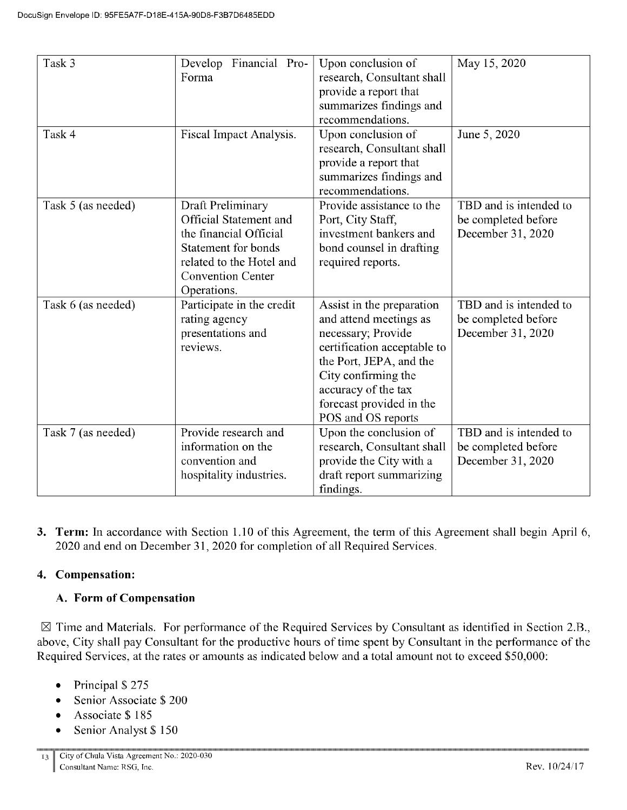| Task 3<br>Develop Financial Pro-<br>May 15, 2020<br>Upon conclusion of                                 |  |
|--------------------------------------------------------------------------------------------------------|--|
| Forma<br>research, Consultant shall                                                                    |  |
| provide a report that                                                                                  |  |
| summarizes findings and                                                                                |  |
|                                                                                                        |  |
| recommendations.                                                                                       |  |
| Upon conclusion of<br>June 5, 2020<br>Task 4<br>Fiscal Impact Analysis.                                |  |
| research, Consultant shall                                                                             |  |
| provide a report that                                                                                  |  |
| summarizes findings and                                                                                |  |
| recommendations.                                                                                       |  |
| Provide assistance to the<br>TBD and is intended to<br>Draft Preliminary<br>Task 5 (as needed)         |  |
| <b>Official Statement and</b><br>Port, City Staff,<br>be completed before                              |  |
| the financial Official<br>investment bankers and<br>December 31, 2020                                  |  |
| <b>Statement for bonds</b><br>bond counsel in drafting                                                 |  |
| related to the Hotel and<br>required reports.                                                          |  |
| <b>Convention Center</b>                                                                               |  |
| Operations.                                                                                            |  |
| TBD and is intended to<br>Participate in the credit<br>Task 6 (as needed)<br>Assist in the preparation |  |
| rating agency<br>and attend meetings as<br>be completed before                                         |  |
| presentations and<br>necessary; Provide<br>December 31, 2020                                           |  |
| certification acceptable to<br>reviews.                                                                |  |
| the Port, JEPA, and the                                                                                |  |
| City confirming the                                                                                    |  |
| accuracy of the tax                                                                                    |  |
| forecast provided in the                                                                               |  |
| POS and OS reports                                                                                     |  |
| TBD and is intended to<br>Provide research and<br>Upon the conclusion of<br>Task 7 (as needed)         |  |
| information on the<br>research, Consultant shall<br>be completed before                                |  |
| convention and<br>provide the City with a<br>December 31, 2020                                         |  |
| hospitality industries.<br>draft report summarizing                                                    |  |
| findings.                                                                                              |  |

3. Term: In accordance with Section 1.10 of this Agreement, the term of this Agreement shall begin April 6, 2020 and end on December 31, 2020 for completion of all Required Services.

## 4. Compensation:

#### A. Form of Compensation

 $\boxtimes$  Time and Materials. For performance of the Required Services by Consultant as identified in Section 2.B., above, City shall pay Consultant for the productive hours of time spent by Consultant in the performance of the Required Services, at the rates or amounts as indicated below and a total amount not to exceed \$50,000:

- Principal \$275  $\bullet$
- Senior Associate \$200  $\bullet$
- Associate \$185  $\bullet$
- Senior Analyst \$150  $\bullet$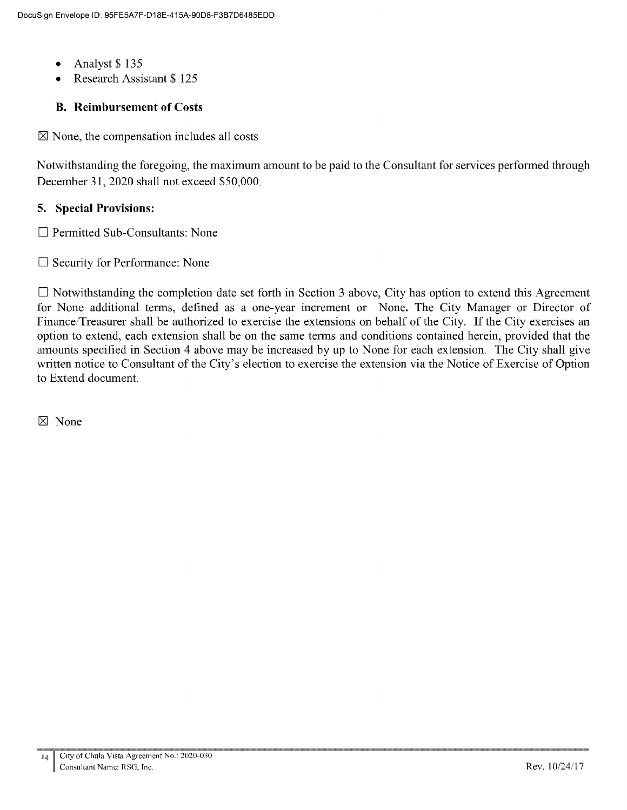- Analyst \$135  $\bullet$
- Research Assistant \$125

## **B.** Reimbursement of Costs

 $\boxtimes$  None, the compensation includes all costs

Notwithstanding the foregoing, the maximum amount to be paid to the Consultant for services performed through December 31, 2020 shall not exceed \$50,000.

## 5. Special Provisions:

 $\Box$  Permitted Sub-Consultants: None

 $\Box$  Security for Performance: None

 $\Box$  Notwithstanding the completion date set forth in Section 3 above, City has option to extend this Agreement for None additional terms, defined as a one-year increment or None. The City Manager or Director of Finance/Treasurer shall be authorized to exercise the extensions on behalf of the City. If the City exercises an option to extend, each extension shall be on the same terms and conditions contained herein, provided that the amounts specified in Section 4 above may be increased by up to None for each extension. The City shall give written notice to Consultant of the City's election to exercise the extension via the Notice of Exercise of Option to Extend document.

 $\boxtimes$  None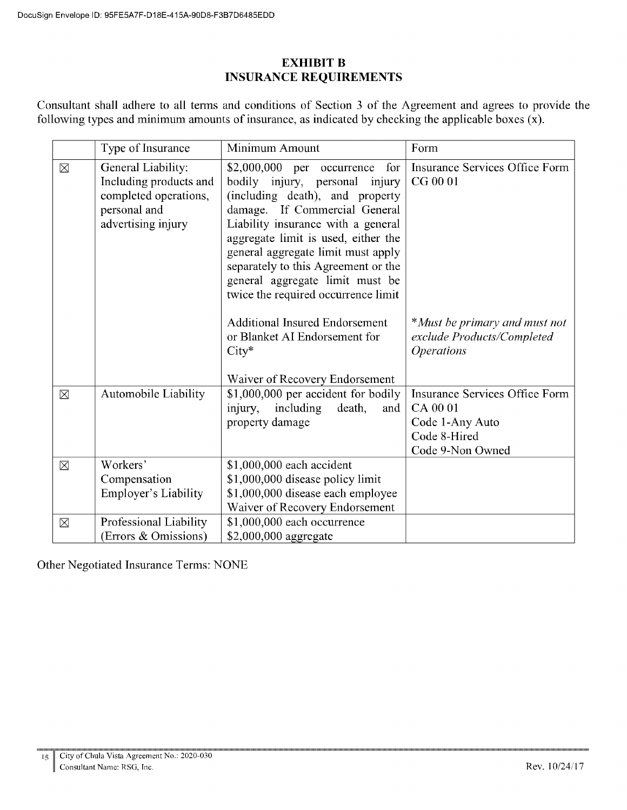## **EXHIBIT B INSURANCE REQUIREMENTS**

Consultant shall adhere to all terms and conditions of Section 3 of the Agreement and agrees to provide the following types and minimum amounts of insurance, as indicated by checking the applicable boxes  $(x)$ .

|             | Type of Insurance                                                                                           | Minimum Amount                                                                                                                                                                                                                                                                                                                                                               | Form                                                                                                     |
|-------------|-------------------------------------------------------------------------------------------------------------|------------------------------------------------------------------------------------------------------------------------------------------------------------------------------------------------------------------------------------------------------------------------------------------------------------------------------------------------------------------------------|----------------------------------------------------------------------------------------------------------|
| $\boxtimes$ | General Liability:<br>Including products and<br>completed operations,<br>personal and<br>advertising injury | $$2,000,000$ per occurrence<br>for<br>bodily injury, personal injury<br>(including death), and property<br>damage. If Commercial General<br>Liability insurance with a general<br>aggregate limit is used, either the<br>general aggregate limit must apply<br>separately to this Agreement or the<br>general aggregate limit must be<br>twice the required occurrence limit | <b>Insurance Services Office Form</b><br>CG 00 01                                                        |
|             |                                                                                                             | <b>Additional Insured Endorsement</b><br>or Blanket AI Endorsement for<br>$City*$<br>Waiver of Recovery Endorsement                                                                                                                                                                                                                                                          | *Must be primary and must not<br>exclude Products/Completed<br><i><b>Operations</b></i>                  |
| $\boxtimes$ | Automobile Liability                                                                                        | \$1,000,000 per accident for bodily<br>injury,<br>including<br>death,<br>and<br>property damage                                                                                                                                                                                                                                                                              | <b>Insurance Services Office Form</b><br>CA 00 01<br>Code 1-Any Auto<br>Code 8-Hired<br>Code 9-Non Owned |
| $\boxtimes$ | Workers'<br>Compensation<br><b>Employer's Liability</b>                                                     | \$1,000,000 each accident<br>\$1,000,000 disease policy limit<br>\$1,000,000 disease each employee<br>Waiver of Recovery Endorsement                                                                                                                                                                                                                                         |                                                                                                          |
| $\boxtimes$ | Professional Liability<br>(Errors & Omissions)                                                              | \$1,000,000 each occurrence<br>\$2,000,000 aggregate                                                                                                                                                                                                                                                                                                                         |                                                                                                          |

Other Negotiated Insurance Terms: NONE